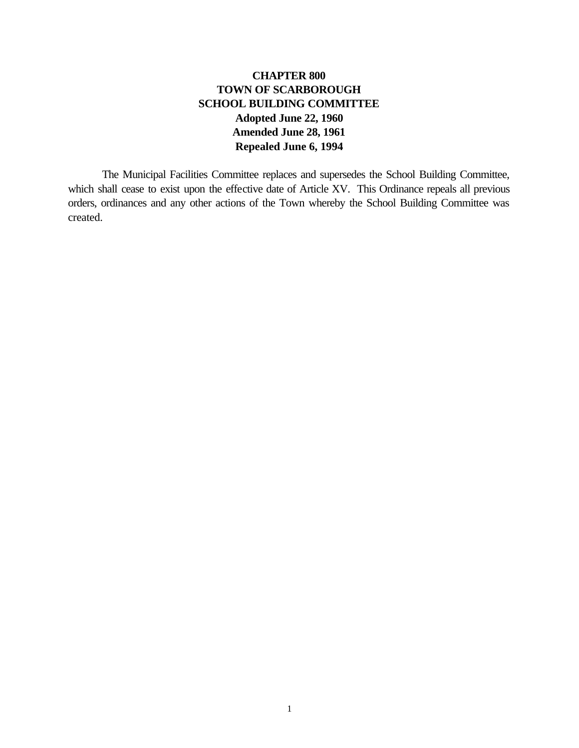## **CHAPTER 800 TOWN OF SCARBOROUGH SCHOOL BUILDING COMMITTEE Adopted June 22, 1960 Amended June 28, 1961 Repealed June 6, 1994**

The Municipal Facilities Committee replaces and supersedes the School Building Committee, which shall cease to exist upon the effective date of Article XV. This Ordinance repeals all previous orders, ordinances and any other actions of the Town whereby the School Building Committee was created.